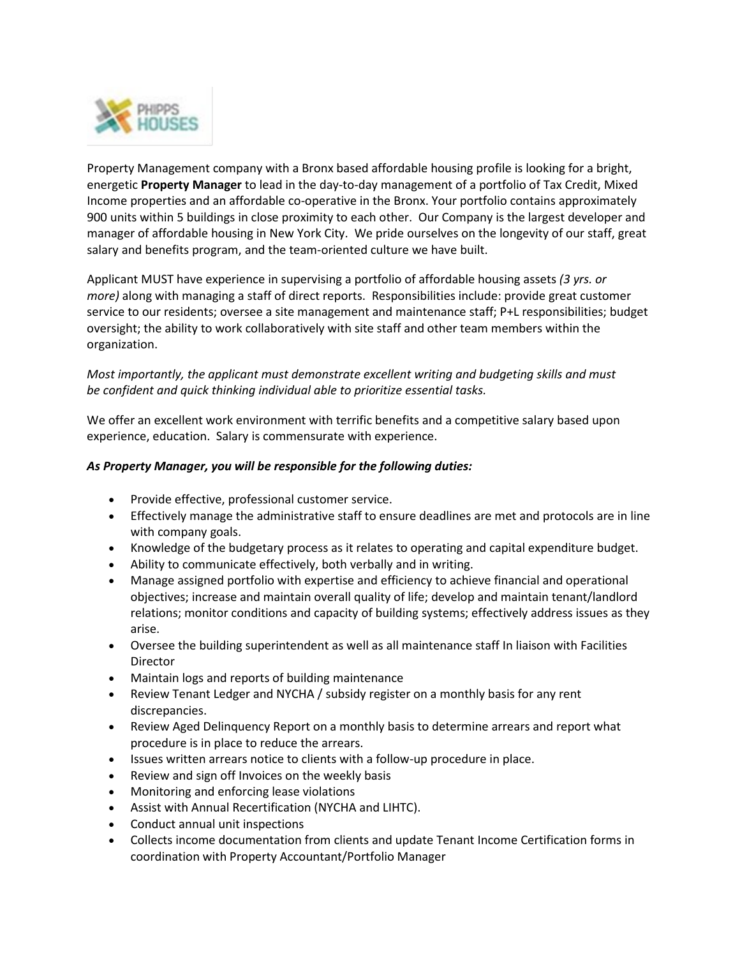

Property Management company with a Bronx based affordable housing profile is looking for a bright, energetic **Property Manager** to lead in the day-to-day management of a portfolio of Tax Credit, Mixed Income properties and an affordable co-operative in the Bronx. Your portfolio contains approximately 900 units within 5 buildings in close proximity to each other. Our Company is the largest developer and manager of affordable housing in New York City. We pride ourselves on the longevity of our staff, great salary and benefits program, and the team-oriented culture we have built.

Applicant MUST have experience in supervising a portfolio of affordable housing assets *(3 yrs. or more)* along with managing a staff of direct reports. Responsibilities include: provide great customer service to our residents; oversee a site management and maintenance staff; P+L responsibilities; budget oversight; the ability to work collaboratively with site staff and other team members within the organization.

# *Most importantly, the applicant must demonstrate excellent writing and budgeting skills and must be confident and quick thinking individual able to prioritize essential tasks.*

We offer an excellent work environment with terrific benefits and a competitive salary based upon experience, education. Salary is commensurate with experience.

## *As Property Manager, you will be responsible for the following duties:*

- Provide effective, professional customer service.
- Effectively manage the administrative staff to ensure deadlines are met and protocols are in line with company goals.
- Knowledge of the budgetary process as it relates to operating and capital expenditure budget.
- Ability to communicate effectively, both verbally and in writing.
- Manage assigned portfolio with expertise and efficiency to achieve financial and operational objectives; increase and maintain overall quality of life; develop and maintain tenant/landlord relations; monitor conditions and capacity of building systems; effectively address issues as they arise.
- Oversee the building superintendent as well as all maintenance staff In liaison with Facilities Director
- Maintain logs and reports of building maintenance
- Review Tenant Ledger and NYCHA / subsidy register on a monthly basis for any rent discrepancies.
- Review Aged Delinquency Report on a monthly basis to determine arrears and report what procedure is in place to reduce the arrears.
- Issues written arrears notice to clients with a follow-up procedure in place.
- Review and sign off Invoices on the weekly basis
- Monitoring and enforcing lease violations
- Assist with Annual Recertification (NYCHA and LIHTC).
- Conduct annual unit inspections
- Collects income documentation from clients and update Tenant Income Certification forms in coordination with Property Accountant/Portfolio Manager